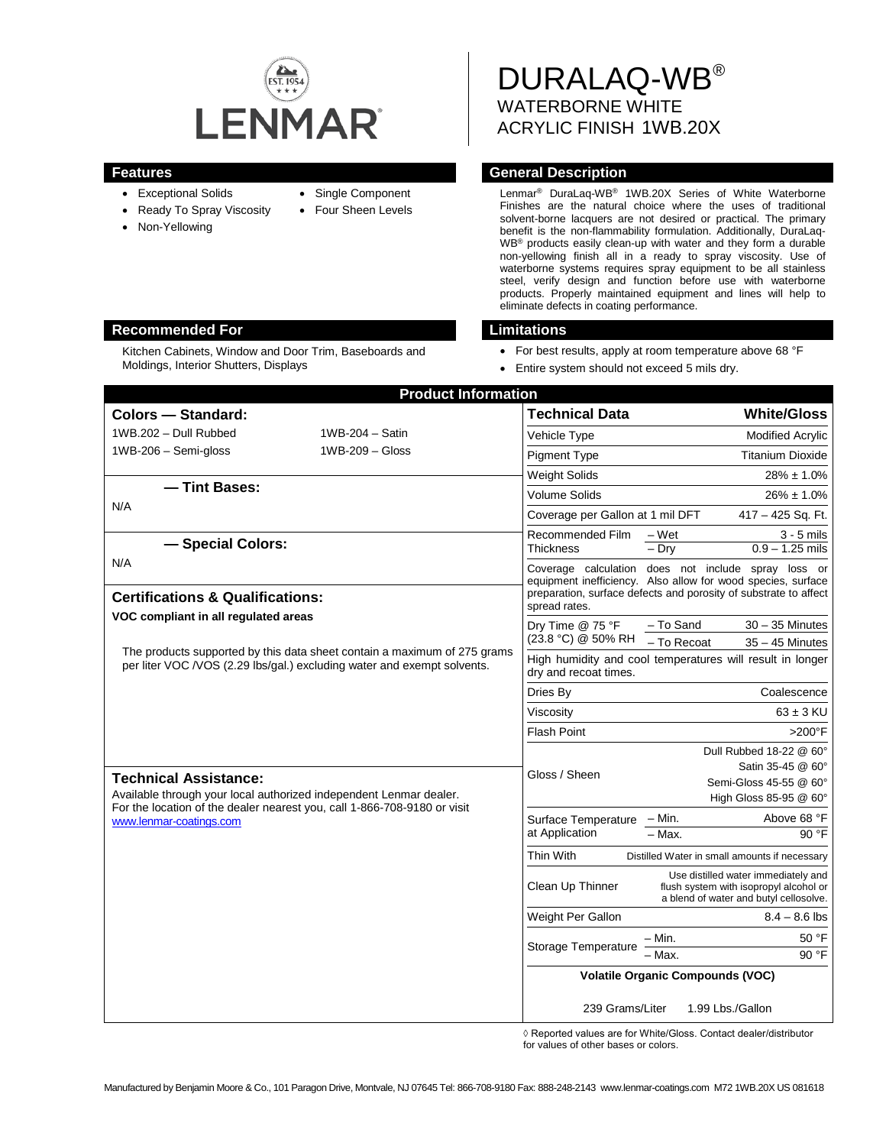

- 
- Exceptional Solids • Ready To Spray Viscosity
- Non-Yellowing

• Single Component

• Four Sheen Levels

WATERBORNE WHITE ACRYLIC FINISH 1WB.20X

DURALAQ-WB®

# **Features General Description**

Lenmar® DuraLaq-WB® 1WB.20X Series of White Waterborne Finishes are the natural choice where the uses of traditional solvent-borne lacquers are not desired or practical. The primary benefit is the non-flammability formulation. Additionally, DuraLaq-WB® products easily clean-up with water and they form a durable non-yellowing finish all in a ready to spray viscosity. Use of waterborne systems requires spray equipment to be all stainless steel, verify design and function before use with waterborne products. Properly maintained equipment and lines will help to eliminate defects in coating performance.

- For best results, apply at room temperature above 68 °F
- Entire system should not exceed 5 mils dry.

| <b>Product Information</b>                                                                                                                           |                   |                                                                                    |                                                                                                                                                                                         |
|------------------------------------------------------------------------------------------------------------------------------------------------------|-------------------|------------------------------------------------------------------------------------|-----------------------------------------------------------------------------------------------------------------------------------------------------------------------------------------|
| Colors - Standard:                                                                                                                                   |                   | <b>Technical Data</b>                                                              | <b>White/Gloss</b>                                                                                                                                                                      |
| 1WB.202 - Dull Rubbed                                                                                                                                | 1WB-204 - Satin   | Vehicle Type                                                                       | <b>Modified Acrylic</b>                                                                                                                                                                 |
| $1WB-206 - Semi-gloss$                                                                                                                               | $1WB-209 - Glass$ | <b>Pigment Type</b>                                                                | <b>Titanium Dioxide</b>                                                                                                                                                                 |
|                                                                                                                                                      |                   | <b>Weight Solids</b>                                                               | $28\% \pm 1.0\%$                                                                                                                                                                        |
| - Tint Bases:<br>N/A                                                                                                                                 |                   | <b>Volume Solids</b>                                                               | $26\% \pm 1.0\%$                                                                                                                                                                        |
|                                                                                                                                                      |                   | Coverage per Gallon at 1 mil DFT                                                   | 417 - 425 Sq. Ft.                                                                                                                                                                       |
| - Special Colors:                                                                                                                                    |                   | Recommended Film<br><b>Thickness</b>                                               | $-Wet$<br>$3 - 5$ mils<br>$-$ Dry<br>$0.9 - 1.25$ mils                                                                                                                                  |
| N/A<br><b>Certifications &amp; Qualifications:</b>                                                                                                   |                   |                                                                                    | Coverage calculation does not include spray loss or<br>equipment inefficiency. Also allow for wood species, surface<br>preparation, surface defects and porosity of substrate to affect |
| VOC compliant in all regulated areas                                                                                                                 |                   | Dry Time @ 75 °F<br>(23.8 °C) @ 50% RH                                             | $30 - 35$ Minutes<br>- To Sand<br>- To Recoat<br>$35 - 45$ Minutes                                                                                                                      |
| The products supported by this data sheet contain a maximum of 275 grams<br>per liter VOC / VOS (2.29 lbs/gal.) excluding water and exempt solvents. |                   | High humidity and cool temperatures will result in longer<br>dry and recoat times. |                                                                                                                                                                                         |
|                                                                                                                                                      |                   | Dries By                                                                           | Coalescence                                                                                                                                                                             |
|                                                                                                                                                      |                   | Viscosity                                                                          | $63 \pm 3$ KU                                                                                                                                                                           |
|                                                                                                                                                      |                   | <b>Flash Point</b>                                                                 | $>200^\circ F$                                                                                                                                                                          |
| <b>Technical Assistance:</b><br>Available through your local authorized independent Lenmar dealer.                                                   |                   | Gloss / Sheen                                                                      | Dull Rubbed 18-22 @ 60°<br>Satin 35-45 @ 60°<br>Semi-Gloss 45-55 @ 60°<br>High Gloss 85-95 @ 60°                                                                                        |
| For the location of the dealer nearest you, call 1-866-708-9180 or visit<br>www.lenmar-coatings.com                                                  |                   | Surface Temperature<br>at Application                                              | Above 68 °F<br>– Min.                                                                                                                                                                   |
|                                                                                                                                                      |                   |                                                                                    | $-$ Max.<br>90°F                                                                                                                                                                        |
|                                                                                                                                                      |                   | Thin With                                                                          | Distilled Water in small amounts if necessary                                                                                                                                           |
|                                                                                                                                                      |                   | Clean Up Thinner                                                                   | Use distilled water immediately and<br>flush system with isopropyl alcohol or<br>a blend of water and butyl cellosolve.                                                                 |
|                                                                                                                                                      |                   | Weight Per Gallon                                                                  | $8.4 - 8.6$ lbs                                                                                                                                                                         |
|                                                                                                                                                      |                   | Storage Temperature                                                                | $-$ Min.<br>50 °F<br>90 °F<br>Max.                                                                                                                                                      |
|                                                                                                                                                      |                   | <b>Volatile Organic Compounds (VOC)</b>                                            |                                                                                                                                                                                         |
|                                                                                                                                                      |                   | 239 Grams/Liter                                                                    | 1.99 Lbs./Gallon                                                                                                                                                                        |

◊ Reported values are for White/Gloss. Contact dealer/distributor for values of other bases or colors.

# **Recommended For Limitations**

Kitchen Cabinets, Window and Door Trim, Baseboards and Moldings, Interior Shutters, Displays